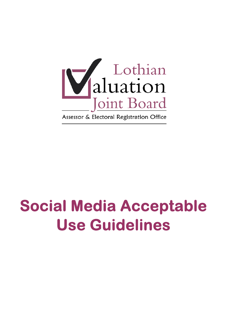

# **Social Media Acceptable Use Guidelines**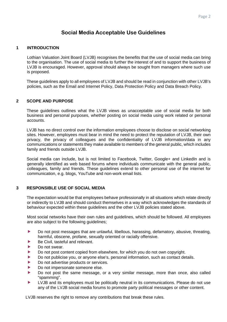# **Social Media Acceptable Use Guidelines**

#### **1 INTRODUCTION**

 Lothian Valuation Joint Board (LVJB) recognises the benefits that the use of social media can bring to the organisation. The use of social media to further the interest of and to support the business of LVJB is encouraged. However, approval should always be sought from managers where such use is proposed.

 These guidelines apply to all employees of LVJB and should be read in conjunction with other LVJB's policies, such as the Email and Internet Policy, Data Protection Policy and Data Breach Policy.

#### **2 SCOPE AND PURPOSE**

These guidelines outlines what the LVJB views as unacceptable use of social media for both business and personal purposes, whether posting on social media using work related or personal accounts.

 LVJB has no direct control over the information employees choose to disclose on social networking sites. However, employees must bear in mind the need to protect the reputation of LVJB, their own privacy, the privacy of colleagues and the confidentiality of LVJB information/data in any communications or statements they make available to members of the general public, which includes family and friends outside LVJB.

Social media can include, but is not limited to Facebook, Twitter, Google+ and LinkedIn and is generally identified as web based forums where individuals communicate with the general public, colleagues, family and friends. These guidelines extend to other personal use of the internet for communication, e.g. blogs, YouTube and non-work email lists.

#### **3 RESPONSIBLE USE OF SOCIAL MEDIA**

 The expectation would be that employees behave professionally in all situations which relate directly or indirectly to LVJB and should conduct themselves in a way which acknowledges the standards of behaviour expected within these guidelines and the other LVJB policies stated above.

Most social networks have their own rules and guidelines, which should be followed. All employees are also subject to the following guidelines;

- Do not post messages that are unlawful, libellous, harassing, defamatory, abusive, threating, harmful, obscene, profane, sexually oriented or racially offensive.
- Be Civil, tasteful and relevant.
- Do not swear.
- Do not post content copied from elsewhere, for which you do not own copyright.
- Do not publicise you, or anyone else's, personal information, such as contact details.
- Do not advertise products or services.
- Do not impersonate someone else.
- Do not post the same message, or a very similar message, more than once, also called "spamming".
- LVJB and its employees must be politically neutral in its communications. Please do not use any of the LVJB social media forums to promote party political messages or other content.

LVJB reserves the right to remove any contributions that break these rules.